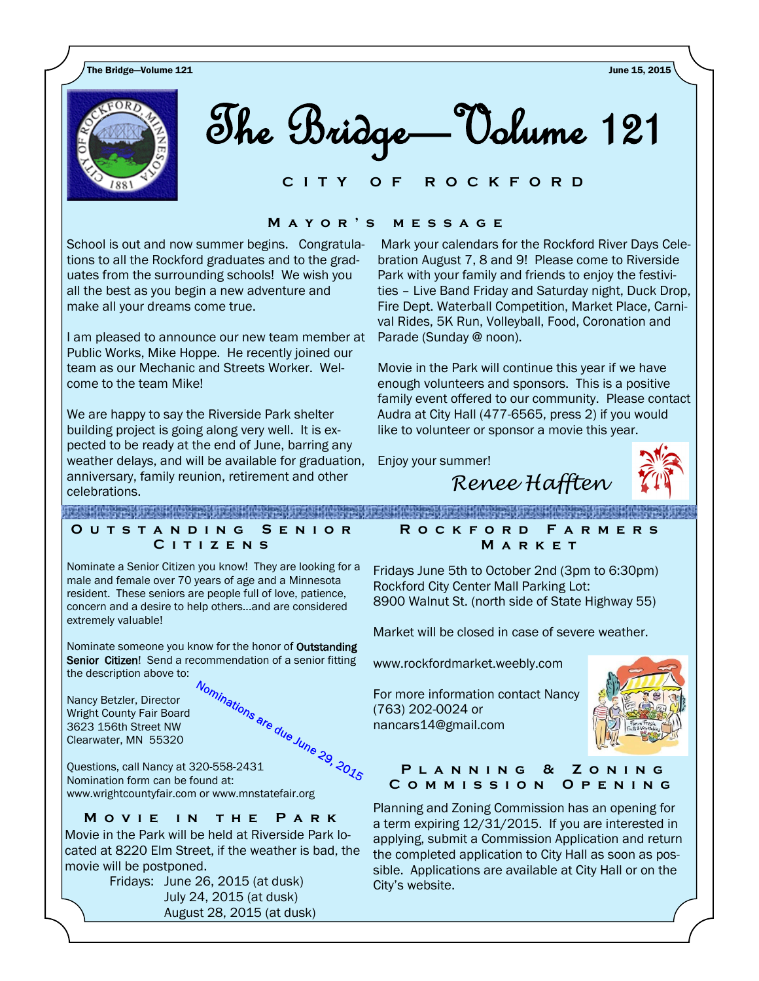The Bridge—Volume 121 June 15, 2015



The Bridge—Volume 121

#### **C I T Y O F R O C K F O R D**

#### **M a y o r ' s m e s s a g e**

School is out and now summer begins. Congratulations to all the Rockford graduates and to the graduates from the surrounding schools! We wish you all the best as you begin a new adventure and make all your dreams come true.

I am pleased to announce our new team member at Public Works, Mike Hoppe. He recently joined our team as our Mechanic and Streets Worker. Welcome to the team Mike!

We are happy to say the Riverside Park shelter building project is going along very well. It is expected to be ready at the end of June, barring any weather delays, and will be available for graduation, anniversary, family reunion, retirement and other celebrations.

Mark your calendars for the Rockford River Days Celebration August 7, 8 and 9! Please come to Riverside Park with your family and friends to enjoy the festivities – Live Band Friday and Saturday night, Duck Drop, Fire Dept. Waterball Competition, Market Place, Carnival Rides, 5K Run, Volleyball, Food, Coronation and Parade (Sunday @ noon).

Movie in the Park will continue this year if we have enough volunteers and sponsors. This is a positive family event offered to our community. Please contact Audra at City Hall (477-6565, press 2) if you would like to volunteer or sponsor a movie this year.

Enjoy your summer!

*Renee Hafften*

**PARTIES IN THE REPORT OF PROPERTY AND RELEASED REACHING A STREET AND A STREET AND A STREET** 

#### **O u t s t a n d i n g S e n i o r C i t i z e n s**

Nominate a Senior Citizen you know! They are looking for a male and female over 70 years of age and a Minnesota resident. These seniors are people full of love, patience, concern and a desire to help others...and are considered extremely valuable!

Nominate someone you know for the honor of Outstanding Senior Citizen! Send a recommendation of a senior fitting

Nancy Betzler, Director Wright County Fair Board 3623 156th Street NW Clearwater, MN 55320



Questions, call Nancy at 320-558-2431 Nomination form can be found at: www.wrightcountyfair.com or www.mnstatefair.org

# **MOVIE IN THE PARK**

Movie in the Park will be held at Riverside Park located at 8220 Elm Street, if the weather is bad, the movie will be postponed.

> Fridays: June 26, 2015 (at dusk) July 24, 2015 (at dusk) August 28, 2015 (at dusk)

**R o c k f o r d F a r m e r s M a r k e t**

Fridays June 5th to October 2nd (3pm to 6:30pm) Rockford City Center Mall Parking Lot: 8900 Walnut St. (north side of State Highway 55)

Market will be closed in case of severe weather.

www.rockfordmarket.weebly.com

For more information contact Nancy (763) 202-0024 or nancars14@gmail.com



#### **P l a n n i n g & Z o n i n g C o m m i s s i o n O p e n i n g**

Planning and Zoning Commission has an opening for a term expiring 12/31/2015. If you are interested in applying, submit a [Commission Application](http://www.cityofrockford.org/wp-content/uploads/Commission-Application2.pdf) and return the completed application to City Hall as soon as possible. Applications are available at City Hall or on the City's website.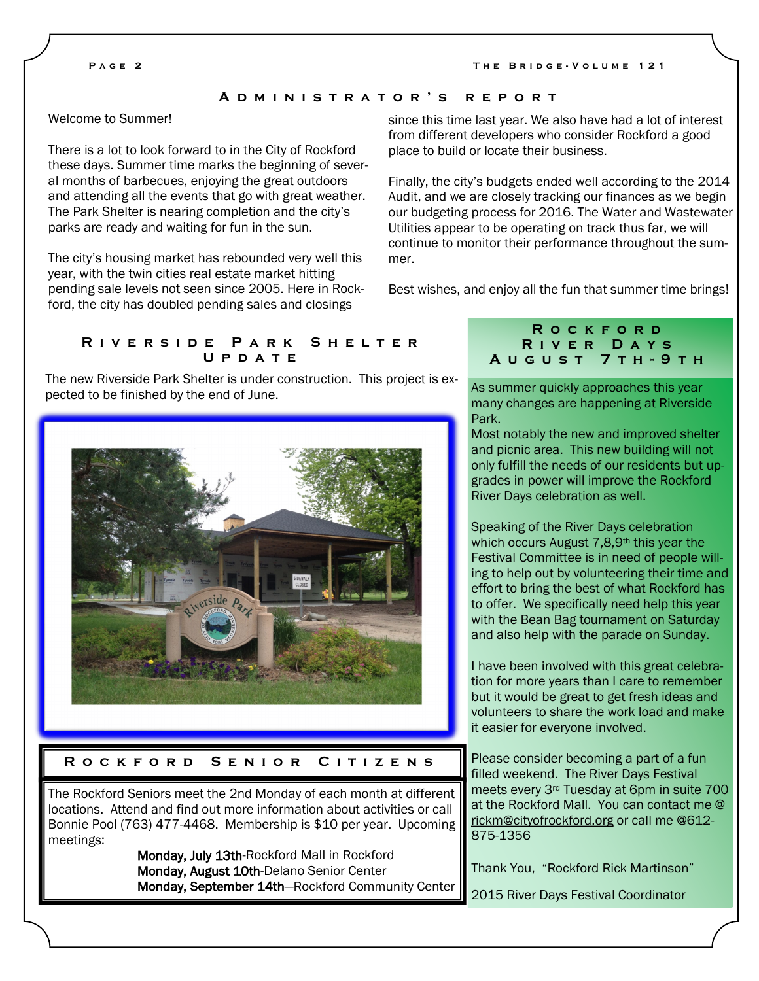#### **A d m i n i s t r a t o r ' s r e p o r t**

# Welcome to Summer!

There is a lot to look forward to in the City of Rockford these days. Summer time marks the beginning of several months of barbecues, enjoying the great outdoors and attending all the events that go with great weather. The Park Shelter is nearing completion and the city's parks are ready and waiting for fun in the sun.

The city's housing market has rebounded very well this year, with the twin cities real estate market hitting pending sale levels not seen since 2005. Here in Rockford, the city has doubled pending sales and closings

since this time last year. We also have had a lot of interest from different developers who consider Rockford a good place to build or locate their business.

Finally, the city's budgets ended well according to the 2014 Audit, and we are closely tracking our finances as we begin our budgeting process for 2016. The Water and Wastewater Utilities appear to be operating on track thus far, we will continue to monitor their performance throughout the summer.

Best wishes, and enjoy all the fun that summer time brings!

#### **R i v e r s i d e P a r k S h e l t e r U p d a t e**

The new Riverside Park Shelter is under construction. This project is expected to be finished by the end of June.



#### **R o c k f o r d S e n i o r C i t i z e n s**

The Rockford Seniors meet the 2nd Monday of each month at different locations. Attend and find out more information about activities or call Bonnie Pool (763) 477-4468. Membership is \$10 per year. Upcoming meetings:

> Monday, July 13th-Rockford Mall in Rockford Monday, August 10th-Delano Senior Center Monday, September 14th—Rockford Community Center

### **R o c k f o r d R i v e r D a y s A u g u s t 7 t h - 9 t h**

As summer quickly approaches this year many changes are happening at Riverside Park.

Most notably the new and improved shelter and picnic area. This new building will not only fulfill the needs of our residents but upgrades in power will improve the Rockford River Days celebration as well.

Speaking of the River Days celebration which occurs August 7,8,9th this year the Festival Committee is in need of people willing to help out by volunteering their time and effort to bring the best of what Rockford has to offer. We specifically need help this year with the Bean Bag tournament on Saturday and also help with the parade on Sunday.

I have been involved with this great celebration for more years than I care to remember but it would be great to get fresh ideas and volunteers to share the work load and make it easier for everyone involved.

Please consider becoming a part of a fun filled weekend. The River Days Festival meets every 3rd Tuesday at 6pm in suite 700 at the Rockford Mall. You can contact me @ [rickm@cityofrockford.org](mailto:rickm@cityofrockford.org) or call me @612- 875-1356

Thank You, "Rockford Rick Martinson"

2015 River Days Festival Coordinator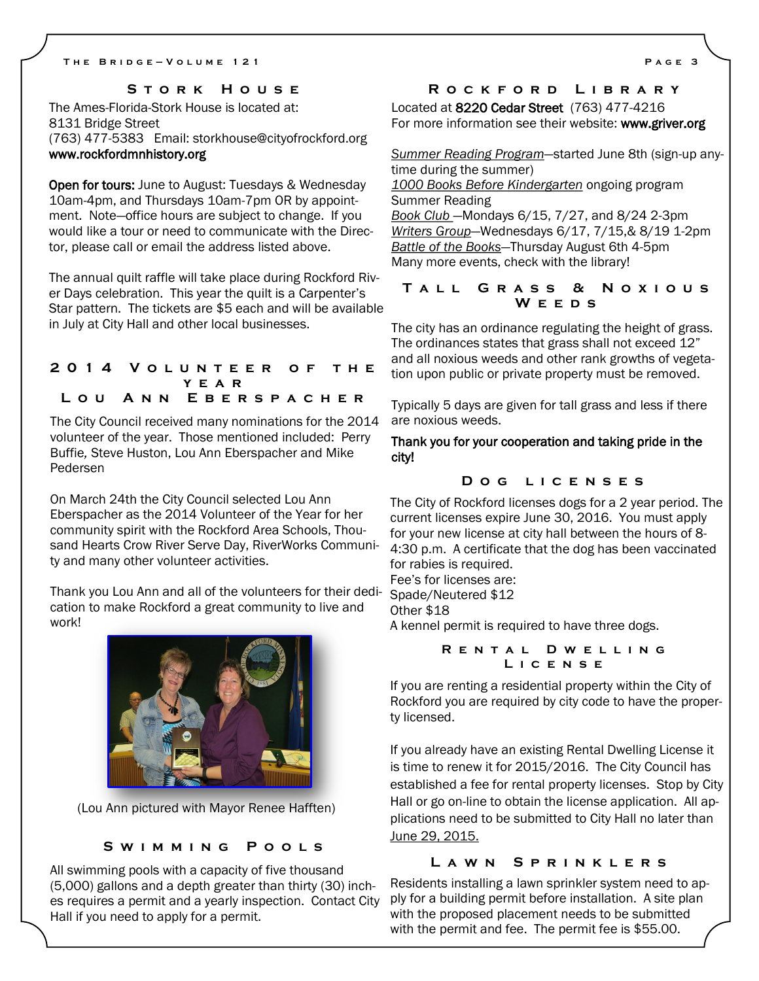## **S t o r k H o u s e**

The Ames-Florida-Stork House is located at: 8131 Bridge Street (763) 477-5383 Email: storkhouse@cityofrockford.org www.rockfordmnhistory.org

Open for tours: June to August: Tuesdays & Wednesday 10am-4pm, and Thursdays 10am-7pm OR by appointment. Note—office hours are subject to change. If you would like a tour or need to communicate with the Director, please call or email the address listed above.

The annual quilt raffle will take place during Rockford River Days celebration. This year the quilt is a Carpenter's Star pattern. The tickets are \$5 each and will be available in July at City Hall and other local businesses.

### **2 0 1 4 V o l u n t e e r o f t h e y e a r L o u A n n E b e r s p a c h e r**

The City Council received many nominations for the 2014 volunteer of the year. Those mentioned included: Perry Buffie*,* Steve Huston, Lou Ann Eberspacher and Mike Pedersen

On March 24th the City Council selected Lou Ann Eberspacher as the 2014 Volunteer of the Year for her community spirit with the Rockford Area Schools, Thousand Hearts Crow River Serve Day, RiverWorks Community and many other volunteer activities.

Thank you Lou Ann and all of the volunteers for their dedication to make Rockford a great community to live and work!



(Lou Ann pictured with Mayor Renee Hafften)

#### **S w i m m i n g P o o l s**

All swimming pools with a capacity of five thousand (5,000) gallons and a depth greater than thirty (30) inches requires a permit and a yearly inspection. Contact City Hall if you need to apply for a permit.

# **R o c k f o r d L i b r a r y**

Located at 8220 Cedar Street (763) 477-4216 For more information see their website: www.griver.org

*Summer Reading Program*—started June 8th (sign-up anytime during the summer) *1000 Books Before Kindergarten* ongoing program Summer Reading

*Book Club* —Mondays 6/15, 7/27, and 8/24 2-3pm *Writers Group*—Wednesdays 6/17, 7/15,& 8/19 1-2pm *Battle of the Books*—Thursday August 6th 4-5pm Many more events, check with the library!

### **T a l l G r a s s & N o x i o u s W e e d s**

The city has an ordinance regulating the height of grass. The ordinances states that grass shall not exceed 12" and all noxious weeds and other rank growths of vegetation upon public or private property must be removed.

Typically 5 days are given for tall grass and less if there are noxious weeds.

Thank you for your cooperation and taking pride in the city!

# **D o g l i c e n s e s**

The City of Rockford licenses dogs for a 2 year period. The current licenses expire June 30, 2016. You must apply for your new license at city hall between the hours of 8- 4:30 p.m. A certificate that the dog has been vaccinated for rabies is required.

Fee's for licenses are:

Spade/Neutered \$12

Other \$18

A kennel permit is required to have three dogs.

**R e n t a l D w e l l i n g L i c e n s e**

If you are renting a residential property within the City of Rockford you are required by city code to have the property licensed.

If you already have an existing Rental Dwelling License it is time to renew it for 2015/2016. The City Council has established a fee for rental property licenses. Stop by City Hall or go on-line to obtain the license application. All applications need to be submitted to City Hall no later than June 29, 2015.

#### **L a w n S p r i n k l e r s**

Residents installing a lawn sprinkler system need to apply for a building permit before installation. A site plan with the proposed placement needs to be submitted with the permit and fee. The permit fee is \$55.00.